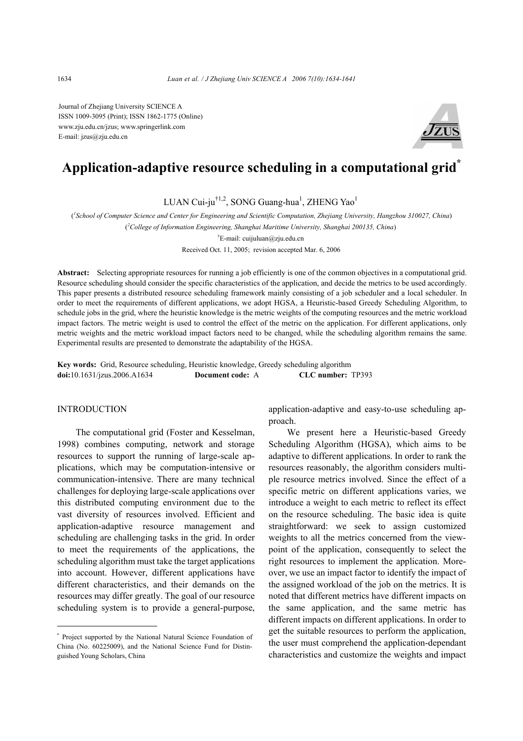Journal of Zhejiang University SCIENCE A ISSN 1009-3095 (Print); ISSN 1862-1775 (Online) www.zju.edu.cn/jzus; www.springerlink.com E-mail: jzus@zju.edu.cn



# **Application-adaptive resource scheduling in a computational grid\***

LUAN Cui-ju<sup>†1,2</sup>, SONG Guang-hua<sup>1</sup>, ZHENG Yao<sup>1</sup>

( *1 School of Computer Science and Center for Engineering and Scientific Computation, Zhejiang University, Hangzhou 310027, China*) ( *2 College of Information Engineering, Shanghai Maritime University, Shanghai 200135, China*)

† E-mail: cuijuluan@zju.edu.cn

Received Oct. 11, 2005; revision accepted Mar. 6, 2006

Abstract: Selecting appropriate resources for running a job efficiently is one of the common objectives in a computational grid. Resource scheduling should consider the specific characteristics of the application, and decide the metrics to be used accordingly. This paper presents a distributed resource scheduling framework mainly consisting of a job scheduler and a local scheduler. In order to meet the requirements of different applications, we adopt HGSA, a Heuristic-based Greedy Scheduling Algorithm, to schedule jobs in the grid, where the heuristic knowledge is the metric weights of the computing resources and the metric workload impact factors. The metric weight is used to control the effect of the metric on the application. For different applications, only metric weights and the metric workload impact factors need to be changed, while the scheduling algorithm remains the same. Experimental results are presented to demonstrate the adaptability of the HGSA.

**Key words:** Grid, Resource scheduling, Heuristic knowledge, Greedy scheduling algorithm **doi:**10.1631/jzus.2006.A1634 **Document code:** A **CLC number:** TP393

#### INTRODUCTION

The computational grid (Foster and Kesselman, 1998) combines computing, network and storage resources to support the running of large-scale applications, which may be computation-intensive or communication-intensive. There are many technical challenges for deploying large-scale applications over this distributed computing environment due to the vast diversity of resources involved. Efficient and application-adaptive resource management and scheduling are challenging tasks in the grid. In order to meet the requirements of the applications, the scheduling algorithm must take the target applications into account. However, different applications have different characteristics, and their demands on the resources may differ greatly. The goal of our resource scheduling system is to provide a general-purpose,

application-adaptive and easy-to-use scheduling approach.

We present here a Heuristic-based Greedy Scheduling Algorithm (HGSA), which aims to be adaptive to different applications. In order to rank the resources reasonably, the algorithm considers multiple resource metrics involved. Since the effect of a specific metric on different applications varies, we introduce a weight to each metric to reflect its effect on the resource scheduling. The basic idea is quite straightforward: we seek to assign customized weights to all the metrics concerned from the viewpoint of the application, consequently to select the right resources to implement the application. Moreover, we use an impact factor to identify the impact of the assigned workload of the job on the metrics. It is noted that different metrics have different impacts on the same application, and the same metric has different impacts on different applications. In order to get the suitable resources to perform the application, the user must comprehend the application-dependant characteristics and customize the weights and impact

<sup>\*</sup> Project supported by the National Natural Science Foundation of China (No. 60225009), and the National Science Fund for Distinguished Young Scholars, China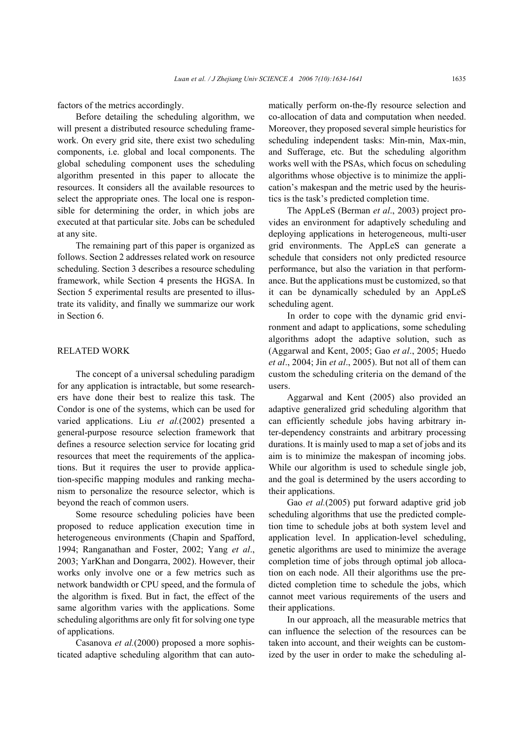factors of the metrics accordingly.

Before detailing the scheduling algorithm, we will present a distributed resource scheduling framework. On every grid site, there exist two scheduling components, i.e. global and local components. The global scheduling component uses the scheduling algorithm presented in this paper to allocate the resources. It considers all the available resources to select the appropriate ones. The local one is responsible for determining the order, in which jobs are executed at that particular site. Jobs can be scheduled at any site.

The remaining part of this paper is organized as follows. Section 2 addresses related work on resource scheduling. Section 3 describes a resource scheduling framework, while Section 4 presents the HGSA. In Section 5 experimental results are presented to illustrate its validity, and finally we summarize our work in Section 6.

## RELATED WORK

The concept of a universal scheduling paradigm for any application is intractable, but some researchers have done their best to realize this task. The Condor is one of the systems, which can be used for varied applications. Liu *et al.*(2002) presented a general-purpose resource selection framework that defines a resource selection service for locating grid resources that meet the requirements of the applications. But it requires the user to provide application-specific mapping modules and ranking mechanism to personalize the resource selector, which is beyond the reach of common users.

Some resource scheduling policies have been proposed to reduce application execution time in heterogeneous environments (Chapin and Spafford, 1994; Ranganathan and Foster, 2002; Yang *et al*., 2003; YarKhan and Dongarra, 2002). However, their works only involve one or a few metrics such as network bandwidth or CPU speed, and the formula of the algorithm is fixed. But in fact, the effect of the same algorithm varies with the applications. Some scheduling algorithms are only fit for solving one type of applications.

Casanova *et al.*(2000) proposed a more sophisticated adaptive scheduling algorithm that can automatically perform on-the-fly resource selection and co-allocation of data and computation when needed. Moreover, they proposed several simple heuristics for scheduling independent tasks: Min-min, Max-min, and Sufferage, etc. But the scheduling algorithm works well with the PSAs, which focus on scheduling algorithms whose objective is to minimize the application's makespan and the metric used by the heuristics is the task's predicted completion time.

The AppLeS (Berman *et al*., 2003) project provides an environment for adaptively scheduling and deploying applications in heterogeneous, multi-user grid environments. The AppLeS can generate a schedule that considers not only predicted resource performance, but also the variation in that performance. But the applications must be customized, so that it can be dynamically scheduled by an AppLeS scheduling agent.

In order to cope with the dynamic grid environment and adapt to applications, some scheduling algorithms adopt the adaptive solution, such as (Aggarwal and Kent, 2005; Gao *et al*., 2005; Huedo *et al*., 2004; Jin *et al*., 2005). But not all of them can custom the scheduling criteria on the demand of the users.

Aggarwal and Kent (2005) also provided an adaptive generalized grid scheduling algorithm that can efficiently schedule jobs having arbitrary inter-dependency constraints and arbitrary processing durations. It is mainly used to map a set of jobs and its aim is to minimize the makespan of incoming jobs. While our algorithm is used to schedule single job, and the goal is determined by the users according to their applications.

Gao *et al.*(2005) put forward adaptive grid job scheduling algorithms that use the predicted completion time to schedule jobs at both system level and application level. In application-level scheduling, genetic algorithms are used to minimize the average completion time of jobs through optimal job allocation on each node. All their algorithms use the predicted completion time to schedule the jobs, which cannot meet various requirements of the users and their applications.

In our approach, all the measurable metrics that can influence the selection of the resources can be taken into account, and their weights can be customized by the user in order to make the scheduling al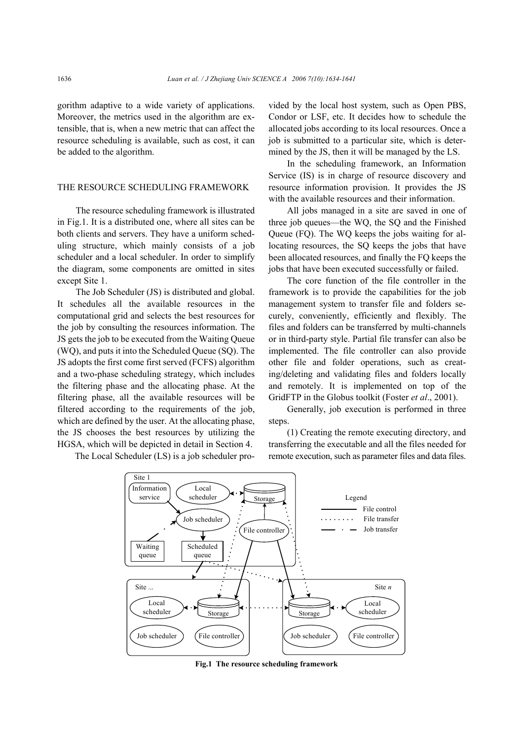gorithm adaptive to a wide variety of applications. Moreover, the metrics used in the algorithm are extensible, that is, when a new metric that can affect the resource scheduling is available, such as cost, it can be added to the algorithm.

## THE RESOURCE SCHEDULING FRAMEWORK

The resource scheduling framework is illustrated in Fig.1. It is a distributed one, where all sites can be both clients and servers. They have a uniform scheduling structure, which mainly consists of a job scheduler and a local scheduler. In order to simplify the diagram, some components are omitted in sites except Site 1.

The Job Scheduler (JS) is distributed and global. It schedules all the available resources in the computational grid and selects the best resources for the job by consulting the resources information. The JS gets the job to be executed from the Waiting Queue (WQ), and puts it into the Scheduled Queue (SQ). The JS adopts the first come first served (FCFS) algorithm and a two-phase scheduling strategy, which includes the filtering phase and the allocating phase. At the filtering phase, all the available resources will be filtered according to the requirements of the job, which are defined by the user. At the allocating phase, the JS chooses the best resources by utilizing the HGSA, which will be depicted in detail in Section 4.

The Local Scheduler (LS) is a job scheduler pro-

vided by the local host system, such as Open PBS, Condor or LSF, etc. It decides how to schedule the allocated jobs according to its local resources. Once a job is submitted to a particular site, which is determined by the JS, then it will be managed by the LS.

In the scheduling framework, an Information Service (IS) is in charge of resource discovery and resource information provision. It provides the JS with the available resources and their information.

All jobs managed in a site are saved in one of three job queues—the WQ, the SQ and the Finished Queue (FQ). The WQ keeps the jobs waiting for allocating resources, the SQ keeps the jobs that have been allocated resources, and finally the FQ keeps the jobs that have been executed successfully or failed.

The core function of the file controller in the framework is to provide the capabilities for the job management system to transfer file and folders securely, conveniently, efficiently and flexibly. The files and folders can be transferred by multi-channels or in third-party style. Partial file transfer can also be implemented. The file controller can also provide other file and folder operations, such as creating/deleting and validating files and folders locally and remotely. It is implemented on top of the GridFTP in the Globus toolkit (Foster *et al*., 2001).

Generally, job execution is performed in three steps.

(1) Creating the remote executing directory, and transferring the executable and all the files needed for remote execution, such as parameter files and data files.



**Fig.1 The resource scheduling framework**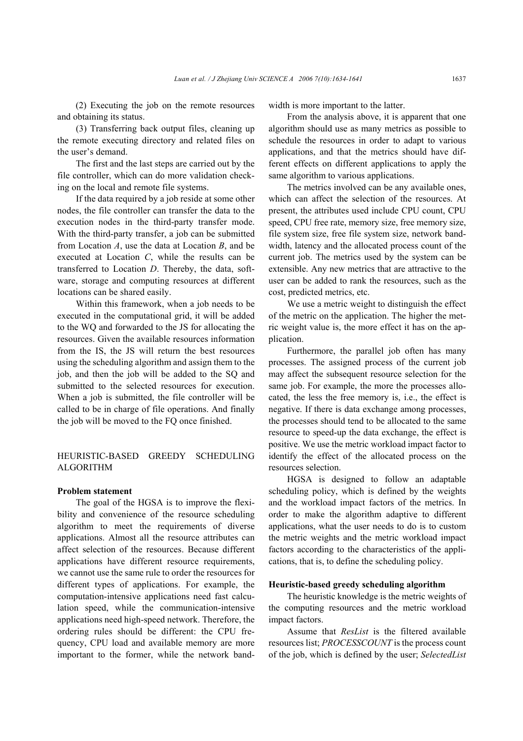(2) Executing the job on the remote resources and obtaining its status.

(3) Transferring back output files, cleaning up the remote executing directory and related files on the user's demand.

The first and the last steps are carried out by the file controller, which can do more validation checking on the local and remote file systems.

If the data required by a job reside at some other nodes, the file controller can transfer the data to the execution nodes in the third-party transfer mode. With the third-party transfer, a job can be submitted from Location *A*, use the data at Location *B*, and be executed at Location *C*, while the results can be transferred to Location *D*. Thereby, the data, software, storage and computing resources at different locations can be shared easily.

Within this framework, when a job needs to be executed in the computational grid, it will be added to the WQ and forwarded to the JS for allocating the resources. Given the available resources information from the IS, the JS will return the best resources using the scheduling algorithm and assign them to the job, and then the job will be added to the SQ and submitted to the selected resources for execution. When a job is submitted, the file controller will be called to be in charge of file operations. And finally the job will be moved to the FQ once finished.

# HEURISTIC-BASED GREEDY SCHEDULING ALGORITHM

#### **Problem statement**

The goal of the HGSA is to improve the flexibility and convenience of the resource scheduling algorithm to meet the requirements of diverse applications. Almost all the resource attributes can affect selection of the resources. Because different applications have different resource requirements, we cannot use the same rule to order the resources for different types of applications. For example, the computation-intensive applications need fast calculation speed, while the communication-intensive applications need high-speed network. Therefore, the ordering rules should be different: the CPU frequency, CPU load and available memory are more important to the former, while the network bandwidth is more important to the latter.

From the analysis above, it is apparent that one algorithm should use as many metrics as possible to schedule the resources in order to adapt to various applications, and that the metrics should have different effects on different applications to apply the same algorithm to various applications.

The metrics involved can be any available ones, which can affect the selection of the resources. At present, the attributes used include CPU count, CPU speed, CPU free rate, memory size, free memory size, file system size, free file system size, network bandwidth, latency and the allocated process count of the current job. The metrics used by the system can be extensible. Any new metrics that are attractive to the user can be added to rank the resources, such as the cost, predicted metrics, etc.

We use a metric weight to distinguish the effect of the metric on the application. The higher the metric weight value is, the more effect it has on the application.

Furthermore, the parallel job often has many processes. The assigned process of the current job may affect the subsequent resource selection for the same job. For example, the more the processes allocated, the less the free memory is, i.e., the effect is negative. If there is data exchange among processes, the processes should tend to be allocated to the same resource to speed-up the data exchange, the effect is positive. We use the metric workload impact factor to identify the effect of the allocated process on the resources selection.

HGSA is designed to follow an adaptable scheduling policy, which is defined by the weights and the workload impact factors of the metrics. In order to make the algorithm adaptive to different applications, what the user needs to do is to custom the metric weights and the metric workload impact factors according to the characteristics of the applications, that is, to define the scheduling policy.

#### **Heuristic-based greedy scheduling algorithm**

The heuristic knowledge is the metric weights of the computing resources and the metric workload impact factors.

Assume that *ResList* is the filtered available resources list; *PROCESSCOUNT* is the process count of the job, which is defined by the user; *SelectedList*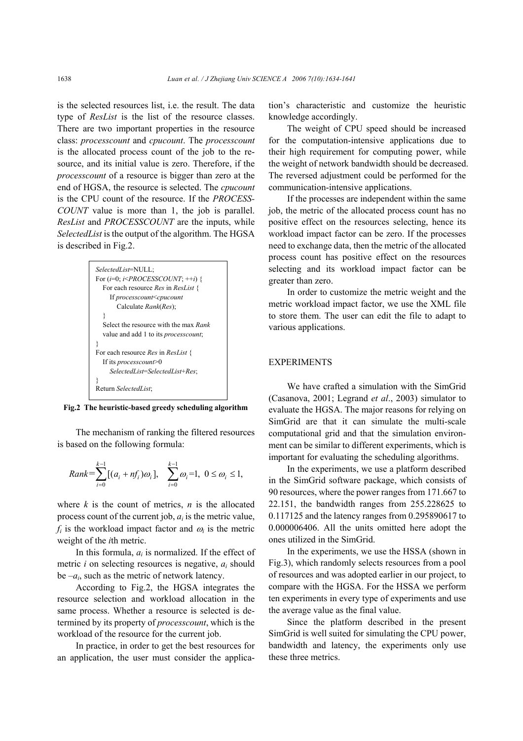is the selected resources list, i.e. the result. The data type of *ResList* is the list of the resource classes. There are two important properties in the resource class: *processcount* and *cpucount*. The *processcount* is the allocated process count of the job to the resource, and its initial value is zero. Therefore, if the *processcount* of a resource is bigger than zero at the end of HGSA, the resource is selected. The *cpucount* is the CPU count of the resource. If the *PROCESS-COUNT* value is more than 1, the job is parallel. *ResList* and *PROCESSCOUNT* are the inputs, while *SelectedList* is the output of the algorithm. The HGSA is described in Fig.2.



**Fig.2 The heuristic-based greedy scheduling algorithm**

The mechanism of ranking the filtered resources is based on the following formula:

$$
Rank = \sum_{i=0}^{k-1} [(a_i + nf_i)\omega_i], \quad \sum_{i=0}^{k-1} \omega_i = 1, \ 0 \le \omega_i \le 1,
$$

where  $k$  is the count of metrics,  $n$  is the allocated process count of the current job, *ai* is the metric value,  $f_i$  is the workload impact factor and  $\omega_i$  is the metric weight of the *i*th metric.

In this formula,  $a_i$  is normalized. If the effect of metric *i* on selecting resources is negative, *ai* should be  $-a_i$ , such as the metric of network latency.

According to Fig.2, the HGSA integrates the resource selection and workload allocation in the same process. Whether a resource is selected is determined by its property of *processcount*, which is the workload of the resource for the current job.

In practice, in order to get the best resources for an application, the user must consider the application's characteristic and customize the heuristic knowledge accordingly.

The weight of CPU speed should be increased for the computation-intensive applications due to their high requirement for computing power, while the weight of network bandwidth should be decreased. The reversed adjustment could be performed for the communication-intensive applications.

If the processes are independent within the same job, the metric of the allocated process count has no positive effect on the resources selecting, hence its workload impact factor can be zero. If the processes need to exchange data, then the metric of the allocated process count has positive effect on the resources selecting and its workload impact factor can be greater than zero.

In order to customize the metric weight and the metric workload impact factor, we use the XML file to store them. The user can edit the file to adapt to various applications.

## EXPERIMENTS

We have crafted a simulation with the SimGrid (Casanova, 2001; Legrand *et al*., 2003) simulator to evaluate the HGSA. The major reasons for relying on SimGrid are that it can simulate the multi-scale computational grid and that the simulation environment can be similar to different experiments, which is important for evaluating the scheduling algorithms.

In the experiments, we use a platform described in the SimGrid software package, which consists of 90 resources, where the power ranges from 171.667 to 22.151, the bandwidth ranges from 255.228625 to 0.117125 and the latency ranges from 0.295890617 to 0.000006406. All the units omitted here adopt the ones utilized in the SimGrid.

In the experiments, we use the HSSA (shown in Fig.3), which randomly selects resources from a pool of resources and was adopted earlier in our project, to compare with the HGSA. For the HSSA we perform ten experiments in every type of experiments and use the average value as the final value.

Since the platform described in the present SimGrid is well suited for simulating the CPU power, bandwidth and latency, the experiments only use these three metrics.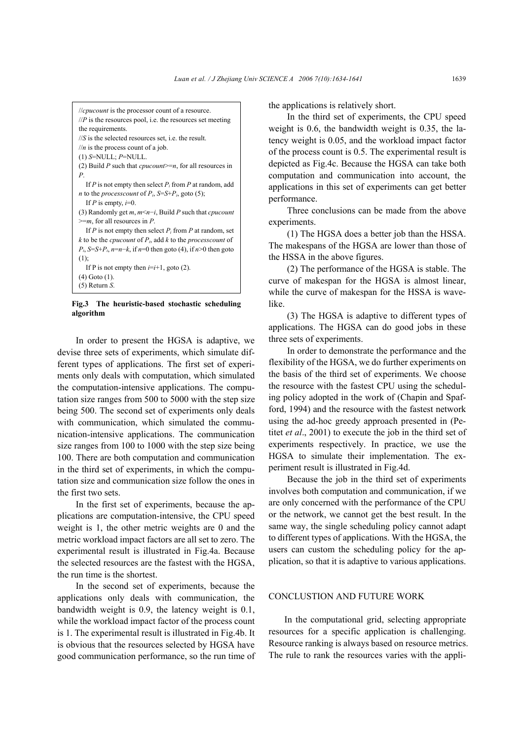```
//cpucount is the processor count of a resource. 
//P is the resources pool, i.e. the resources set meeting 
the requirements. 
//S is the selected resources set, i.e. the result. 
\frac{1}{n} is the process count of a job.
(1) S=NULL; P=NULL. 
(2) Build P such that cpucount>=n, for all resources in 
P. 
  If P is not empty then select Pi from P at random, add
n to the processcount of P_i, S=S+P_i, goto (5);
  If P is empty, i=0.
(3) Randomly get m, m<n−i, Build P such that cpucount
>=m, for all resources in P. 
  If P is not empty then select Pi from P at random, set
k to be the cpucount of Pi, add k to the processcount of 
P_i, S=S+P_i, n=n−k, if n=0 then goto (4), if n>0 then goto
(1); 
  If P is not empty then i=i+1, goto (2).
(4) Goto (1). 
(5) Return S.
```
**Fig.3 The heuristic-based stochastic scheduling algorithm**

In order to present the HGSA is adaptive, we devise three sets of experiments, which simulate different types of applications. The first set of experiments only deals with computation, which simulated the computation-intensive applications. The computation size ranges from 500 to 5000 with the step size being 500. The second set of experiments only deals with communication, which simulated the communication-intensive applications. The communication size ranges from 100 to 1000 with the step size being 100. There are both computation and communication in the third set of experiments, in which the computation size and communication size follow the ones in the first two sets.

In the first set of experiments, because the applications are computation-intensive, the CPU speed weight is 1, the other metric weights are 0 and the metric workload impact factors are all set to zero. The experimental result is illustrated in Fig.4a. Because the selected resources are the fastest with the HGSA, the run time is the shortest.

In the second set of experiments, because the applications only deals with communication, the bandwidth weight is 0.9, the latency weight is 0.1, while the workload impact factor of the process count is 1. The experimental result is illustrated in Fig.4b. It is obvious that the resources selected by HGSA have good communication performance, so the run time of the applications is relatively short.

In the third set of experiments, the CPU speed weight is 0.6, the bandwidth weight is 0.35, the latency weight is 0.05, and the workload impact factor of the process count is 0.5. The experimental result is depicted as Fig.4c. Because the HGSA can take both computation and communication into account, the applications in this set of experiments can get better performance.

Three conclusions can be made from the above experiments.

(1) The HGSA does a better job than the HSSA. The makespans of the HGSA are lower than those of the HSSA in the above figures.

(2) The performance of the HGSA is stable. The curve of makespan for the HGSA is almost linear, while the curve of makespan for the HSSA is wavelike.

(3) The HGSA is adaptive to different types of applications. The HGSA can do good jobs in these three sets of experiments.

In order to demonstrate the performance and the flexibility of the HGSA, we do further experiments on the basis of the third set of experiments. We choose the resource with the fastest CPU using the scheduling policy adopted in the work of (Chapin and Spafford, 1994) and the resource with the fastest network using the ad-hoc greedy approach presented in (Petitet *et al*., 2001) to execute the job in the third set of experiments respectively. In practice, we use the HGSA to simulate their implementation. The experiment result is illustrated in Fig.4d.

Because the job in the third set of experiments involves both computation and communication, if we are only concerned with the performance of the CPU or the network, we cannot get the best result. In the same way, the single scheduling policy cannot adapt to different types of applications. With the HGSA, the users can custom the scheduling policy for the application, so that it is adaptive to various applications.

## CONCLUSTION AND FUTURE WORK

In the computational grid, selecting appropriate resources for a specific application is challenging. Resource ranking is always based on resource metrics. The rule to rank the resources varies with the appli-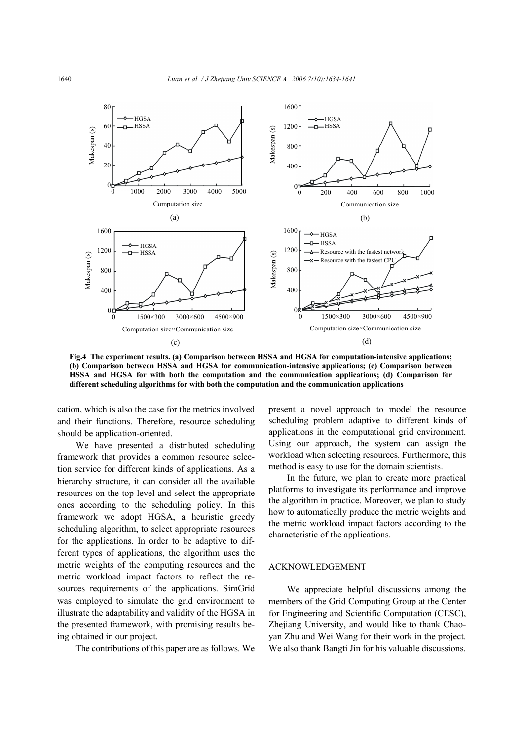

**Fig.4 The experiment results. (a) Comparison between HSSA and HGSA for computation-intensive applications; (b) Comparison between HSSA and HGSA for communication-intensive applications; (c) Comparison between HSSA and HGSA for with both the computation and the communication applications; (d) Comparison for different scheduling algorithms for with both the computation and the communication applications**

cation, which is also the case for the metrics involved and their functions. Therefore, resource scheduling should be application-oriented.

We have presented a distributed scheduling framework that provides a common resource selection service for different kinds of applications. As a hierarchy structure, it can consider all the available resources on the top level and select the appropriate ones according to the scheduling policy. In this framework we adopt HGSA, a heuristic greedy scheduling algorithm, to select appropriate resources for the applications. In order to be adaptive to different types of applications, the algorithm uses the metric weights of the computing resources and the metric workload impact factors to reflect the resources requirements of the applications. SimGrid was employed to simulate the grid environment to illustrate the adaptability and validity of the HGSA in the presented framework, with promising results being obtained in our project.

The contributions of this paper are as follows. We

present a novel approach to model the resource scheduling problem adaptive to different kinds of applications in the computational grid environment. Using our approach, the system can assign the workload when selecting resources. Furthermore, this method is easy to use for the domain scientists.

In the future, we plan to create more practical platforms to investigate its performance and improve the algorithm in practice. Moreover, we plan to study how to automatically produce the metric weights and the metric workload impact factors according to the characteristic of the applications.

## ACKNOWLEDGEMENT

We appreciate helpful discussions among the members of the Grid Computing Group at the Center for Engineering and Scientific Computation (CESC), Zhejiang University, and would like to thank Chaoyan Zhu and Wei Wang for their work in the project.